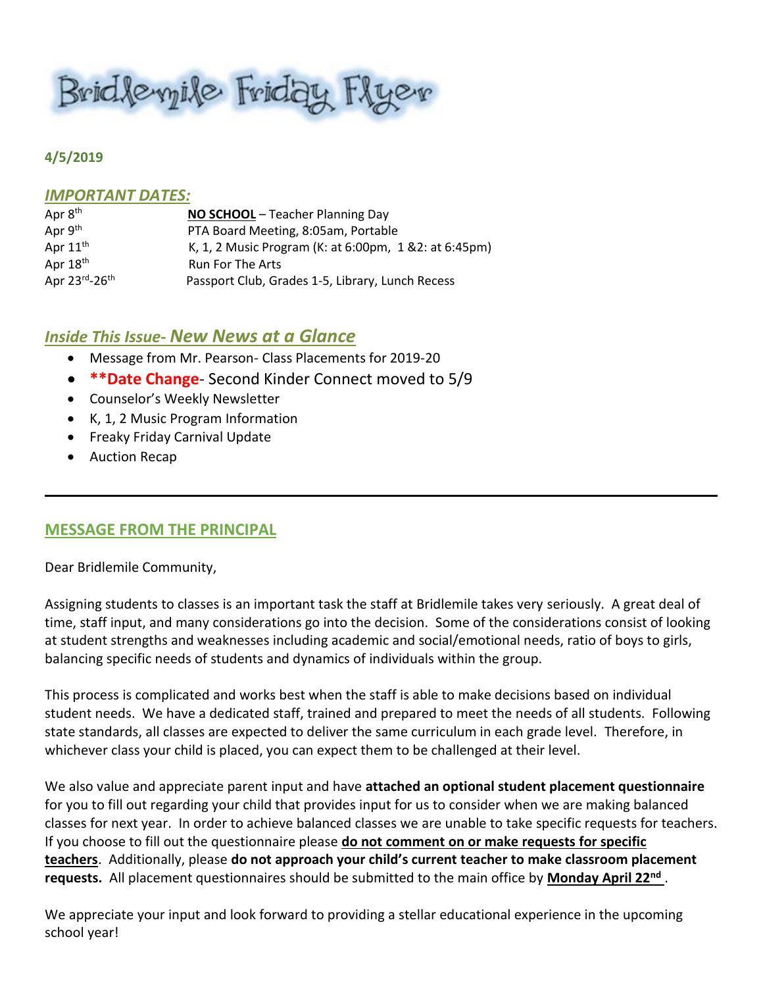Bridlevyile Friday Flyer

#### **4/5/2019**

#### *IMPORTANT DATES:*

| Apr 8 <sup>th</sup> | NO SCHOOL - Teacher Planning Day                       |
|---------------------|--------------------------------------------------------|
| Apr $9th$           | PTA Board Meeting, 8:05am, Portable                    |
| Apr $11th$          | K, 1, 2 Music Program (K: at 6:00pm, 1 & 2: at 6:45pm) |
| Apr $18th$          | <b>Run For The Arts</b>                                |
| Apr 23rd-26th       | Passport Club, Grades 1-5, Library, Lunch Recess       |

### *Inside This Issue- New News at a Glance*

- Message from Mr. Pearson- Class Placements for 2019-20
- **\*\*Date Change** Second Kinder Connect moved to 5/9
- Counselor's Weekly Newsletter
- K, 1, 2 Music Program Information
- Freaky Friday Carnival Update
- Auction Recap

### **MESSAGE FROM THE PRINCIPAL**

Dear Bridlemile Community,

Assigning students to classes is an important task the staff at Bridlemile takes very seriously. A great deal of time, staff input, and many considerations go into the decision. Some of the considerations consist of looking at student strengths and weaknesses including academic and social/emotional needs, ratio of boys to girls, balancing specific needs of students and dynamics of individuals within the group.

This process is complicated and works best when the staff is able to make decisions based on individual student needs. We have a dedicated staff, trained and prepared to meet the needs of all students. Following state standards, all classes are expected to deliver the same curriculum in each grade level. Therefore, in whichever class your child is placed, you can expect them to be challenged at their level.

We also value and appreciate parent input and have **attached an optional student placement questionnaire** for you to fill out regarding your child that provides input for us to consider when we are making balanced classes for next year. In order to achieve balanced classes we are unable to take specific requests for teachers. If you choose to fill out the questionnaire please **do not comment on or make requests for specific teachers**. Additionally, please **do not approach your child's current teacher to make classroom placement requests.** All placement questionnaires should be submitted to the main office by **Monday April 22nd** .

We appreciate your input and look forward to providing a stellar educational experience in the upcoming school year!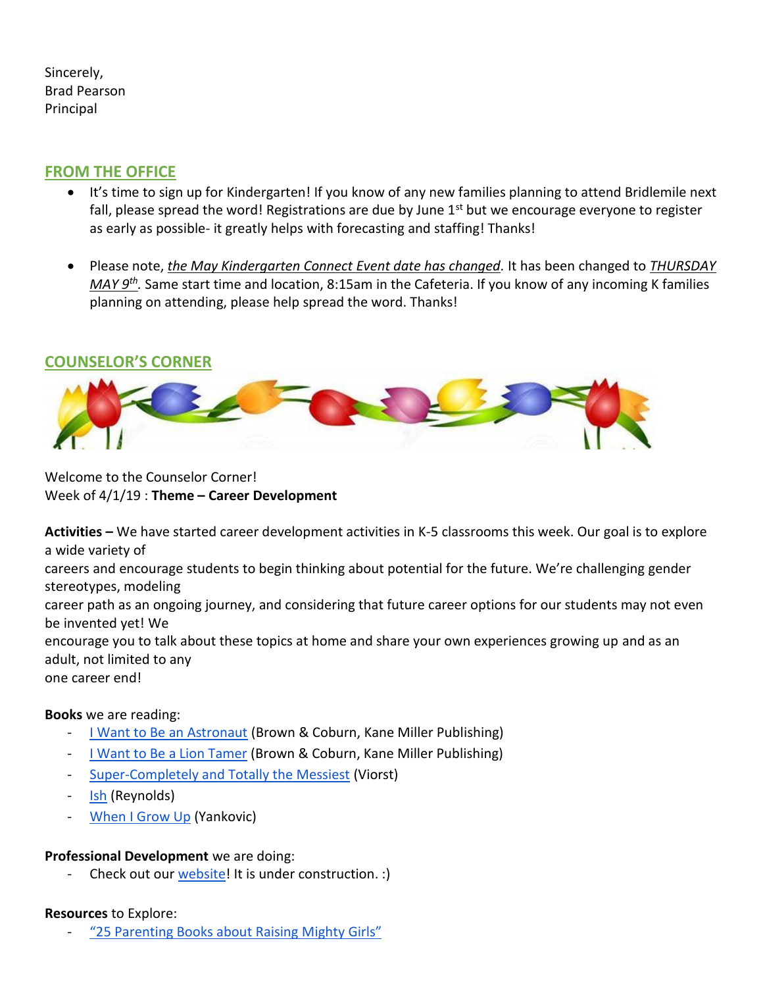Sincerely, Brad Pearson Principal

# **FROM THE OFFICE**

- It's time to sign up for Kindergarten! If you know of any new families planning to attend Bridlemile next fall, please spread the word! Registrations are due by June 1<sup>st</sup> but we encourage everyone to register as early as possible- it greatly helps with forecasting and staffing! Thanks!
- Please note, *the May Kindergarten Connect Event date has changed.* It has been changed to *THURSDAY MAY 9th .* Same start time and location, 8:15am in the Cafeteria. If you know of any incoming K families planning on attending, please help spread the word. Thanks!

# **COUNSELOR'S CORNER**



Welcome to the Counselor Corner! Week of 4/1/19 : **Theme – Career Development**

**Activities –** We have started career development activities in K-5 classrooms this week. Our goal is to explore a wide variety of careers and encourage students to begin thinking about potential for the future. We're challenging gender stereotypes, modeling career path as an ongoing journey, and considering that future career options for our students may not even be invented yet! We encourage you to talk about these topics at home and share your own experiences growing up and as an adult, not limited to any one career end!

## **Books** we are reading:

- [I Want to Be an Astronaut](https://a4291.myubam.com/p/5524/i-want-to-be-a-lion-tamer) (Brown & Coburn, Kane Miller Publishing)
- [I Want to Be a Lion Tamer](https://a4291.myubam.com/p/5525/i-want-to-be-an-astronaut) (Brown & Coburn, Kane Miller Publishing)
- [Super-Completely and Totally the Messiest](https://www.amazon.com/Super-Completely-Totally-Messiest-Judith-Viorst/dp/1416942009/ref=sr_1_fkmrnull_1?crid=1252ITE92ZX5T&keywords=super+completely+and+totally+the+messiest&qid=1554142113&s=gateway&sprefix=super+completely+%2Caps%2C186&sr=8-1-fkmrnull) (Viorst)
- [Ish](https://www.amazon.com/Ish-Creatrilogy-Peter-H-Reynolds/dp/076362344X/ref=sr_1_1?keywords=ish&qid=1554142093&s=gateway&sr=8-1) (Reynolds)
- [When I Grow Up](https://www.amazon.com/When-Grow-Up-Al-Yankovic/dp/0061926914/ref=sr_1_3?keywords=when+I+grow+up&qid=1554142153&s=gateway&sr=8-3) (Yankovic)

### **Professional Development** we are doing:

Check out our [website!](https://sites.google.com/apps4pps.net/bridlemile-counselor-corner/home?authuser=0) It is under construction. :)

### **Resources** to Explore:

["25 Parenting Books about Raising Mighty Girls"](https://www.amightygirl.com/blog?p=12416&fbclid=IwAR3EYsdNbjLacKmXzpjr0z6oHH1kitueSt-oEkRvYkubsMlL-UHgbDna74k)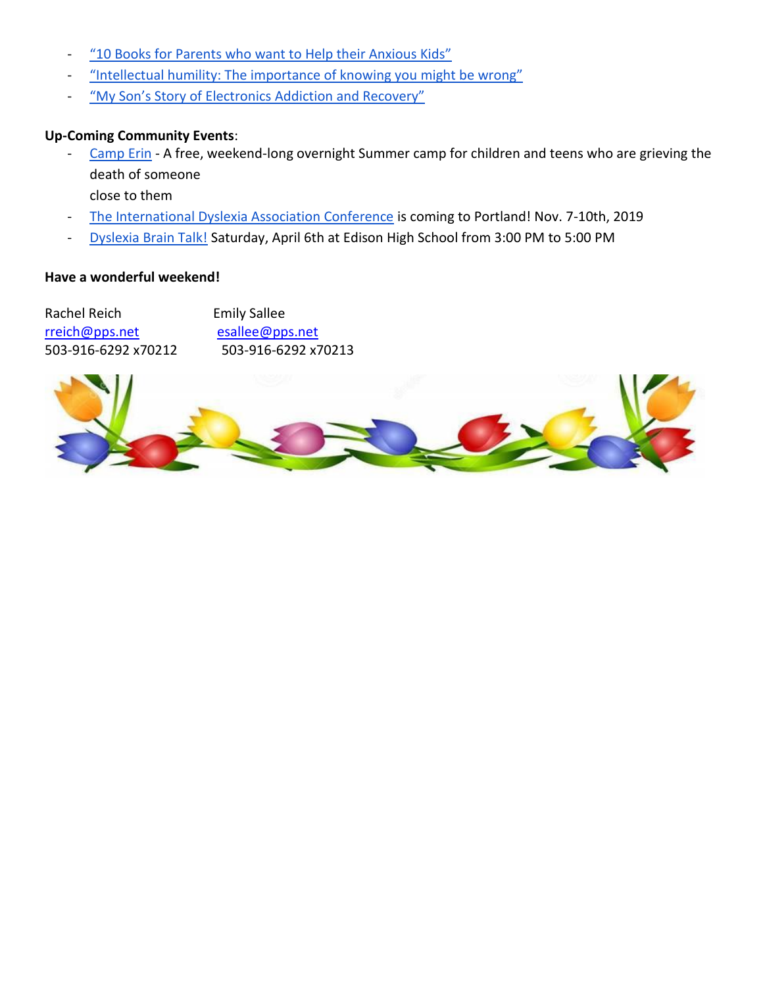- ["10 Books for Parents who want to Help their Anxious Kids"](https://www.huffpost.com/entry/books-anxiety-parents-kids_l_5c93c5fde4b093dbd8193cd8?fbclid=IwAR0HWrH7OjKVkMbrH0cm49euF-zFG6zAVaMG88CD-QzKcbZfphRVYCTY_0o)
- ["Intellectual humility: The importance of knowing you might be wrong"](https://www.vox.com/science-and-health/2019/1/4/17989224/intellectual-humility-explained-psychology-replication?fbclid=IwAR2ON-kEJ9shZJovql23nDlugrpPG8otunCjUqtkt6q6lIZHqWc-pd4cyT8)
- ["My Son's Story of Electronics Addiction and Recovery"](https://www.additudemag.com/video-game-addiction-digital-detox/?fbclid=IwAR3_t1Cpo4v6Ds2_1XdyfoB7LUCEdnWA5s7rNafexRjYirZ0vh2U3ZR1QNs)

## **Up-Coming Community Events**:

[Camp Erin](https://oregon.providence.org/our-services/c/camp-erin/) - A free, weekend-long overnight Summer camp for children and teens who are grieving the death of someone

close to them

- [The International Dyslexia Association Conference](https://www.eiseverywhere.com/website/887/home/) is coming to Portland! Nov. 7-10th, 2019
- [Dyslexia Brain Talk!](https://or.dyslexiaida.org/events/?event_id1=82) Saturday, April 6th at Edison High School from 3:00 PM to 5:00 PM

### **Have a wonderful weekend!**

Rachel Reich Emily Sallee [rreich@pps.net](mailto:rreich@pps.net) [esallee@pps.net](mailto:esallee@pps.net) 503-916-6292 x70212 503-916-6292 x70213

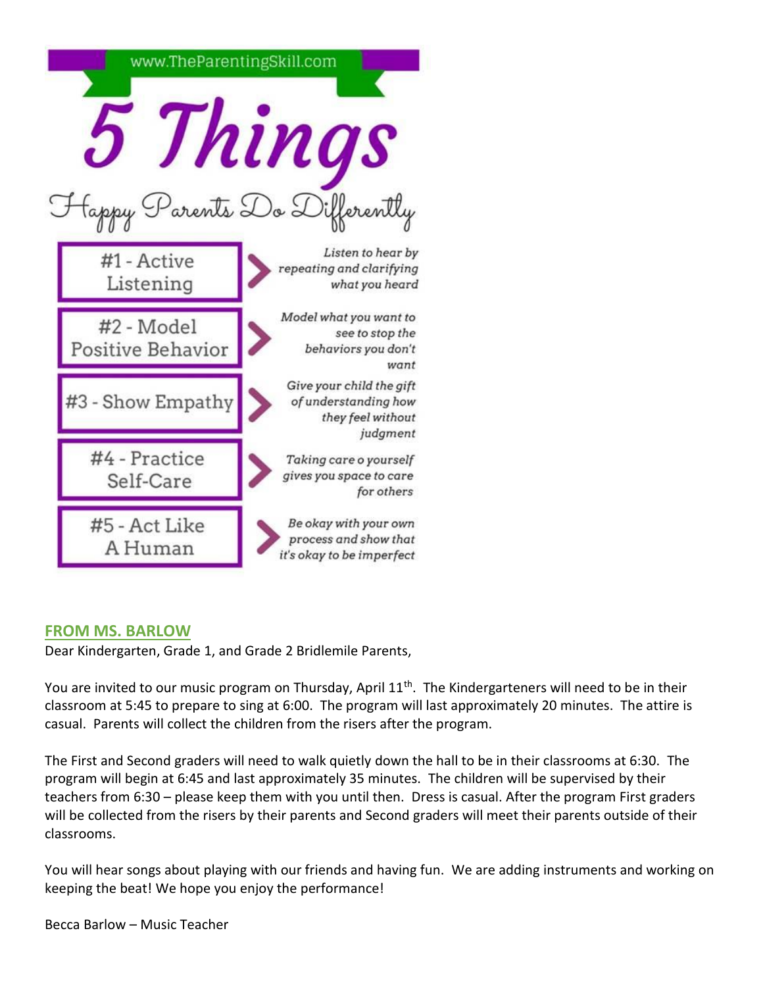

# **FROM MS. BARLOW**

Dear Kindergarten, Grade 1, and Grade 2 Bridlemile Parents,

You are invited to our music program on Thursday, April 11<sup>th</sup>. The Kindergarteners will need to be in their classroom at 5:45 to prepare to sing at 6:00. The program will last approximately 20 minutes. The attire is casual. Parents will collect the children from the risers after the program.

The First and Second graders will need to walk quietly down the hall to be in their classrooms at 6:30. The program will begin at 6:45 and last approximately 35 minutes. The children will be supervised by their teachers from 6:30 – please keep them with you until then. Dress is casual. After the program First graders will be collected from the risers by their parents and Second graders will meet their parents outside of their classrooms.

You will hear songs about playing with our friends and having fun. We are adding instruments and working on keeping the beat! We hope you enjoy the performance!

Becca Barlow – Music Teacher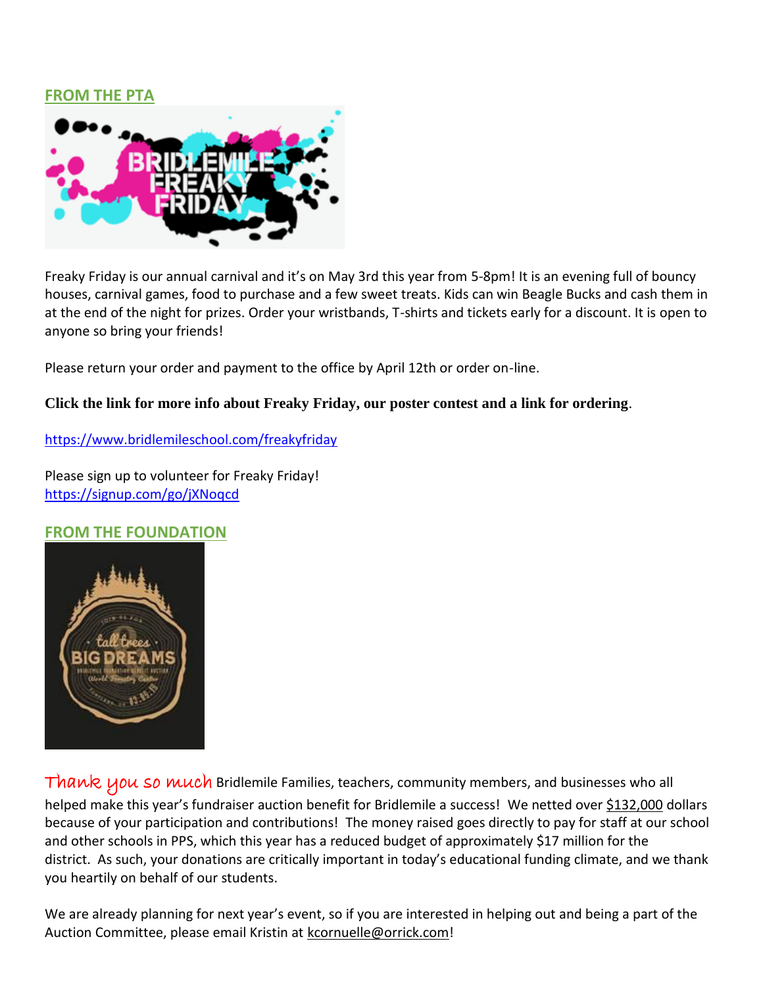## **FROM THE PTA**



Freaky Friday is our annual carnival and it's on May 3rd this year from 5-8pm! It is an evening full of bouncy houses, carnival games, food to purchase and a few sweet treats. Kids can win Beagle Bucks and cash them in at the end of the night for prizes. Order your wristbands, T-shirts and tickets early for a discount. It is open to anyone so bring your friends!

Please return your order and payment to the office by April 12th or order on-line.

### **Click the link for more info about Freaky Friday, our poster contest and a link for ordering**.

<https://www.bridlemileschool.com/freakyfriday>

Please sign up to volunteer for Freaky Friday! <https://signup.com/go/jXNoqcd>

## **FROM THE FOUNDATION**



Thank you so much Bridlemile Families, teachers, community members, and businesses who all helped make this year's fundraiser auction benefit for Bridlemile a success! We netted over \$132,000 dollars because of your participation and contributions! The money raised goes directly to pay for staff at our school and other schools in PPS, which this year has a reduced budget of approximately \$17 million for the district. As such, your donations are critically important in today's educational funding climate, and we thank you heartily on behalf of our students.

We are already planning for next year's event, so if you are interested in helping out and being a part of the Auction Committee, please email Kristin at [kcornuelle@orrick.com!](mailto:kcornuelle@orrick.com)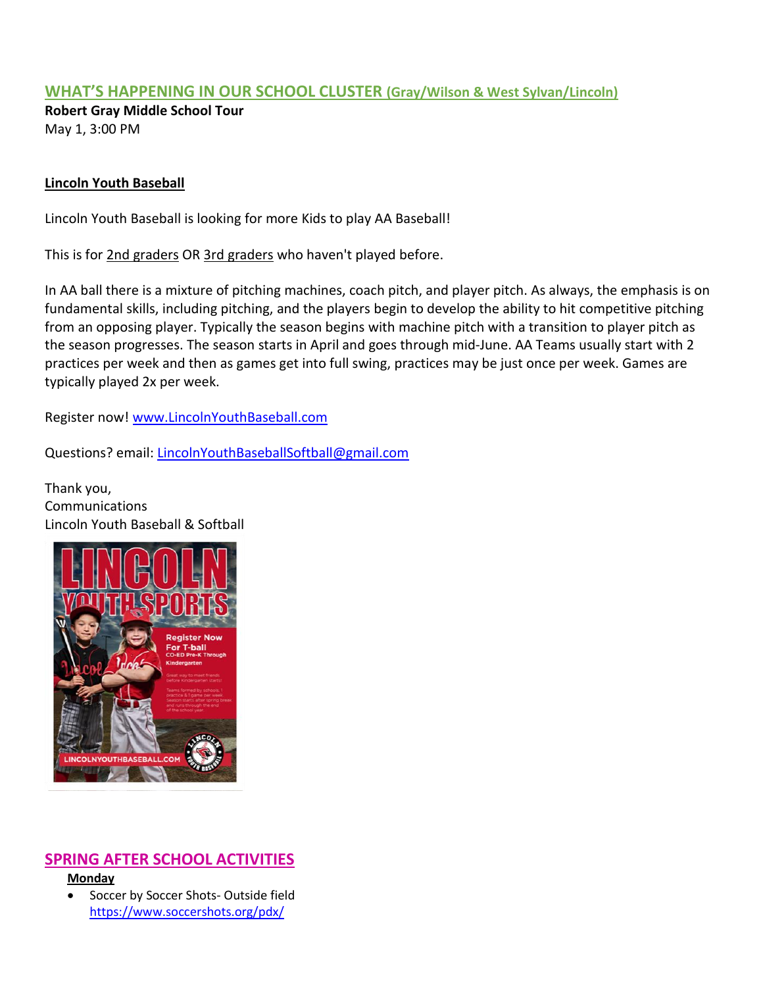## **WHAT'S HAPPENING IN OUR SCHOOL CLUSTER (Gray/Wilson & West Sylvan/Lincoln)**

**Robert Gray Middle School Tour** May 1, 3:00 PM

### **Lincoln Youth Baseball**

Lincoln Youth Baseball is looking for more Kids to play AA Baseball!

This is for 2nd graders OR 3rd graders who haven't played before.

In AA ball there is a mixture of pitching machines, coach pitch, and player pitch. As always, the emphasis is on fundamental skills, including pitching, and the players begin to develop the ability to hit competitive pitching from an opposing player. Typically the season begins with machine pitch with a transition to player pitch as the season progresses. The season starts in April and goes through mid-June. AA Teams usually start with 2 practices per week and then as games get into full swing, practices may be just once per week. Games are typically played 2x per week.

Register now! [www.LincolnYouthBaseball.com](http://www.lincolnyouthbaseball.com/)

Questions? email: [LincolnYouthBaseballSoftball@gmail.com](mailto:LincolnYouthBaseballSoftball@gmail.com)

Thank you, **Communications** Lincoln Youth Baseball & Softball



# **SPRING AFTER SCHOOL ACTIVITIES**

**Monday**

**•** Soccer by Soccer Shots- Outside field <https://www.soccershots.org/pdx/>